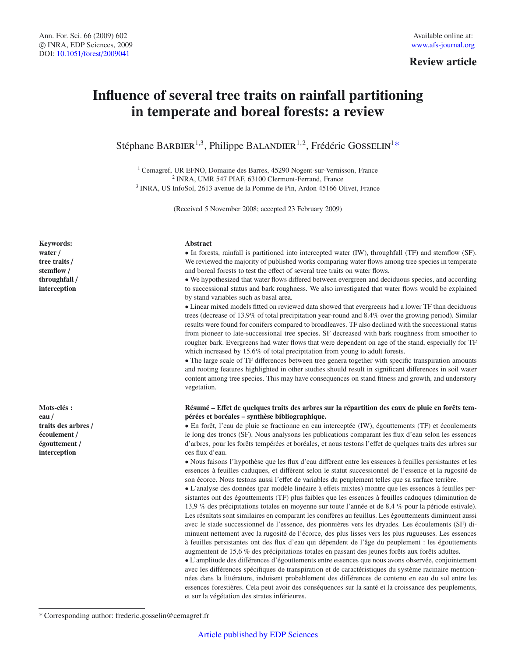# **Review article**

# **Influence of several tree traits on rainfall partitioning in temperate and boreal forests: a review**

Stéphane BARBIER<sup>1,3</sup>, Philippe BALANDIER<sup>1,2</sup>, Frédéric GOSSELIN<sup>1\*</sup>

<sup>1</sup> Cemagref, UR EFNO, Domaine des Barres, 45290 Nogent-sur-Vernisson, France <sup>2</sup> INRA, UMR 547 PIAF, 63100 Clermont-Ferrand, France <sup>3</sup> INRA, US InfoSol, 2613 avenue de la Pomme de Pin, Ardon 45166 Olivet, France

(Received 5 November 2008; accepted 23 February 2009)

**Keywords: water** / **tree traits** / **stemflow** / **throughfall** / **interception**

**Mots-clés : eau** / **traits des arbres** / **écoulement** / **égouttement** / **interception**

#### **Abstract**

• In forests, rainfall is partitioned into intercepted water (IW), throughfall (TF) and stemflow (SF). We reviewed the majority of published works comparing water flows among tree species in temperate and boreal forests to test the effect of several tree traits on water flows.

• We hypothesized that water flows differed between evergreen and deciduous species, and according to successional status and bark roughness. We also investigated that water flows would be explained by stand variables such as basal area.

• Linear mixed models fitted on reviewed data showed that evergreens had a lower TF than deciduous trees (decrease of 13.9% of total precipitation year-round and 8.4% over the growing period). Similar results were found for conifers compared to broadleaves. TF also declined with the successional status from pioneer to late-successional tree species. SF decreased with bark roughness from smoother to rougher bark. Evergreens had water flows that were dependent on age of the stand, especially for TF which increased by 15.6% of total precipitation from young to adult forests.

• The large scale of TF differences between tree genera together with specific transpiration amounts and rooting features highlighted in other studies should result in significant differences in soil water content among tree species. This may have consequences on stand fitness and growth, and understory vegetation.

#### **Résumé – E**ff**et de quelques traits des arbres sur la répartition des eaux de pluie en forêts tempérées et boréales – synthèse bibliographique.**

• En forêt, l'eau de pluie se fractionne en eau interceptée (IW), égouttements (TF) et écoulements le long des troncs (SF). Nous analysons les publications comparant les flux d'eau selon les essences d'arbres, pour les forêts tempérées et boréales, et nous testons l'effet de quelques traits des arbres sur ces flux d'eau.

• Nous faisons l'hypothèse que les flux d'eau diffèrent entre les essences à feuilles persistantes et les essences à feuilles caduques, et diffèrent selon le statut successionnel de l'essence et la rugosité de son écorce. Nous testons aussi l'effet de variables du peuplement telles que sa surface terrière.

• L'analyse des données (par modèle linéaire à effets mixtes) montre que les essences à feuilles persistantes ont des égouttements (TF) plus faibles que les essences à feuilles caduques (diminution de 13,9 % des précipitations totales en moyenne sur toute l'année et de 8,4 % pour la période estivale). Les résultats sont similaires en comparant les conifères au feuillus. Les égouttements diminuent aussi avec le stade successionnel de l'essence, des pionnières vers les dryades. Les écoulements (SF) diminuent nettement avec la rugosité de l'écorce, des plus lisses vers les plus rugueuses. Les essences à feuilles persistantes ont des flux d'eau qui dépendent de l'âge du peuplement : les égouttements augmentent de 15,6 % des précipitations totales en passant des jeunes forêts aux forêts adultes.

• L'amplitude des différences d'égouttements entre essences que nous avons observée, conjointement avec les différences spécifiques de transpiration et de caractéristiques du système racinaire mentionnées dans la littérature, induisent probablement des différences de contenu en eau du sol entre les essences forestières. Cela peut avoir des conséquences sur la santé et la croissance des peuplements, et sur la végétation des strates inférieures.

<sup>\*</sup> Corresponding author: frederic.gosselin@cemagref.fr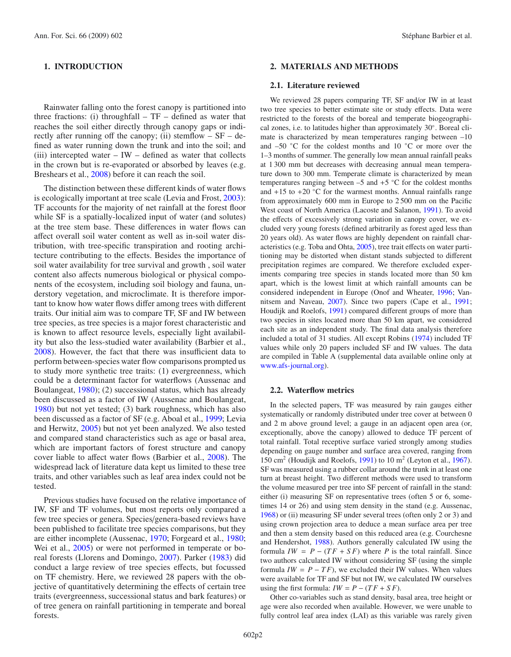# **1. INTRODUCTION**

Rainwater falling onto the forest canopy is partitioned into three fractions: (i) throughfall  $- TF -$  defined as water that reaches the soil either directly through canopy gaps or indirectly after running off the canopy; (ii) stemflow  $-$  SF  $-$  defined as water running down the trunk and into the soil; and (iii) intercepted water  $-$  IW  $-$  defined as water that collects in the crown but is re-evaporated or absorbed by leaves (e.g. Breshears et al., [2008\)](#page-9-0) before it can reach the soil.

The distinction between these different kinds of water flows is ecologically important at tree scale (Levia and Frost, [2003](#page-10-0)): TF accounts for the majority of net rainfall at the forest floor while SF is a spatially-localized input of water (and solutes) at the tree stem base. These differences in water flows can affect overall soil water content as well as in-soil water distribution, with tree-specific transpiration and rooting architecture contributing to the effects. Besides the importance of soil water availability for tree survival and growth , soil water content also affects numerous biological or physical components of the ecosystem, including soil biology and fauna, understory vegetation, and microclimate. It is therefore important to know how water flows differ among trees with different traits. Our initial aim was to compare TF, SF and IW between tree species, as tree species is a major forest characteristic and is known to affect resource levels, especially light availability but also the less-studied water availability (Barbier et al., [2008\)](#page-9-1). However, the fact that there was insufficient data to perform between-species water flow comparisons prompted us to study more synthetic tree traits: (1) evergreenness, which could be a determinant factor for waterflows (Aussenac and Boulangeat, [1980](#page-9-2)); (2) successional status, which has already been discussed as a factor of IW (Aussenac and Boulangeat, [1980\)](#page-9-2) but not yet tested; (3) bark roughness, which has also been discussed as a factor of SF (e.g. Aboal et al., [1999;](#page-9-3) Levia and Herwitz, [2005](#page-10-1)) but not yet been analyzed. We also tested and compared stand characteristics such as age or basal area, which are important factors of forest structure and canopy cover liable to affect water flows (Barbier et al., [2008\)](#page-9-1). The widespread lack of literature data kept us limited to these tree traits, and other variables such as leaf area index could not be tested.

Previous studies have focused on the relative importance of IW, SF and TF volumes, but most reports only compared a few tree species or genera. Species/genera-based reviews have been published to facilitate tree species comparisons, but they are either incomplete (Aussenac, [1970;](#page-9-4) Forgeard et al., [1980;](#page-9-5) Wei et al.,  $2005$ ) or were not performed in temperate or boreal forests (Llorens and Domingo, [2007\)](#page-10-3). Parker [\(1983](#page-10-4)) did conduct a large review of tree species effects, but focussed on TF chemistry. Here, we reviewed 28 papers with the objective of quantitatively determining the effects of certain tree traits (evergreenness, successional status and bark features) or of tree genera on rainfall partitioning in temperate and boreal forests.

#### **2. MATERIALS AND METHODS**

## **2.1. Literature reviewed**

We reviewed 28 papers comparing TF, SF and/or IW in at least two tree species to better estimate site or study effects. Data were restricted to the forests of the boreal and temperate biogeographical zones, i.e. to latitudes higher than approximately 30◦. Boreal climate is characterized by mean temperatures ranging between –10 and –50 ◦C for the coldest months and 10 ◦C or more over the 1–3 months of summer. The generally low mean annual rainfall peaks at 1 300 mm but decreases with decreasing annual mean temperature down to 300 mm. Temperate climate is characterized by mean temperatures ranging between  $-5$  and  $+5$  °C for the coldest months and  $+15$  to  $+20$  °C for the warmest months. Annual rainfalls range from approximately 600 mm in Europe to 2 500 mm on the Pacific West coast of North America (Lacoste and Salanon, [1991](#page-10-5)). To avoid the effects of excessively strong variation in canopy cover, we excluded very young forests (defined arbitrarily as forest aged less than 20 years old). As water flows are highly dependent on rainfall characteristics (e.g. Toba and Ohta, [2005](#page-10-6)), tree trait effects on water partitioning may be distorted when distant stands subjected to different precipitation regimes are compared. We therefore excluded experiments comparing tree species in stands located more than 50 km apart, which is the lowest limit at which rainfall amounts can be considered independent in Europe (Onof and Wheater, [1996](#page-10-7); Vannitsem and Naveau, [2007\)](#page-10-8). Since two papers (Cape et al., [1991](#page-9-6); Houdijk and Roelofs, [1991](#page-10-9)) compared different groups of more than two species in sites located more than 50 km apart, we considered each site as an independent study. The final data analysis therefore included a total of 31 studies. All except Robins [\(1974\)](#page-10-10) included TF values while only 20 papers included SF and IW values. The data are compiled in Table A (supplemental data available online only at [www.afs-journal.org\)](www.afs-journal.org).

## **2.2. Waterflow metrics**

In the selected papers, TF was measured by rain gauges either systematically or randomly distributed under tree cover at between 0 and 2 m above ground level; a gauge in an adjacent open area (or, exceptionally, above the canopy) allowed to deduce TF percent of total rainfall. Total receptive surface varied strongly among studies depending on gauge number and surface area covered, ranging from 150 cm<sup>2</sup> (Houdijk and Roelofs,  $1991$ ) to 10 m<sup>2</sup> (Leyton et al., [1967\)](#page-10-11). SF was measured using a rubber collar around the trunk in at least one turn at breast height. Two different methods were used to transform the volume measured per tree into SF percent of rainfall in the stand: either (i) measuring SF on representative trees (often 5 or 6, sometimes 14 or 26) and using stem density in the stand (e.g. Aussenac, [1968](#page-9-7)) or (ii) measuring SF under several trees (often only 2 or 3) and using crown projection area to deduce a mean surface area per tree and then a stem density based on this reduced area (e.g. Courchesne and Hendershot, [1988](#page-9-8)). Authors generally calculated IW using the formula  $IW = P - (TF + SF)$  where *P* is the total rainfall. Since two authors calculated IW without considering SF (using the simple formula  $IW = P - TF$ ), we excluded their IW values. When values were available for TF and SF but not IW, we calculated IW ourselves using the first formula:  $IW = P - (TF + SF)$ .

Other co-variables such as stand density, basal area, tree height or age were also recorded when available. However, we were unable to fully control leaf area index (LAI) as this variable was rarely given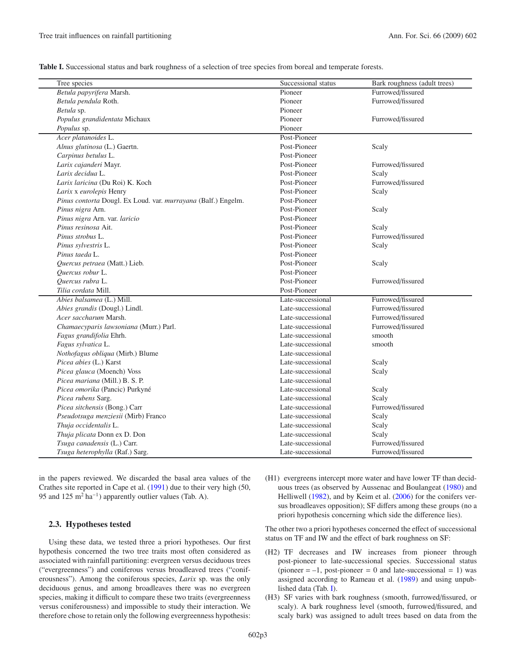<span id="page-2-0"></span>**Table I.** Successional status and bark roughness of a selection of tree species from boreal and temperate forests.

| Tree species                                                  | Successional status | Bark roughness (adult trees) |
|---------------------------------------------------------------|---------------------|------------------------------|
| Betula papyrifera Marsh.                                      | Pioneer             | Furrowed/fissured            |
| Betula pendula Roth.                                          | Pioneer             | Furrowed/fissured            |
| Betula sp.                                                    | Pioneer             |                              |
| Populus grandidentata Michaux                                 | Pioneer             | Furrowed/fissured            |
| Populus sp.                                                   | Pioneer             |                              |
| Acer platanoides L.                                           | Post-Pioneer        |                              |
| Alnus glutinosa (L.) Gaertn.                                  | Post-Pioneer        | Scaly                        |
| Carpinus betulus L.                                           | Post-Pioneer        |                              |
| Larix cajanderi Mayr.                                         | Post-Pioneer        | Furrowed/fissured            |
| Larix decidua L.                                              | Post-Pioneer        | Scaly                        |
| Larix laricina (Du Roi) K. Koch                               | Post-Pioneer        | Furrowed/fissured            |
| Larix x eurolepis Henry                                       | Post-Pioneer        | Scaly                        |
| Pinus contorta Dougl. Ex Loud. var. murrayana (Balf.) Engelm. | Post-Pioneer        |                              |
| Pinus nigra Arn.                                              | Post-Pioneer        | Scaly                        |
| Pinus nigra Arn. var. laricio                                 | Post-Pioneer        |                              |
| Pinus resinosa Ait.                                           | Post-Pioneer        | Scaly                        |
| Pinus strobus L.                                              | Post-Pioneer        | Furrowed/fissured            |
| Pinus sylvestris L.                                           | Post-Pioneer        | Scaly                        |
| Pinus taeda L.                                                | Post-Pioneer        |                              |
| Quercus petraea (Matt.) Lieb.                                 | Post-Pioneer        | Scaly                        |
| Ouercus robur L.                                              | Post-Pioneer        |                              |
| Ouercus rubra L.                                              | Post-Pioneer        | Furrowed/fissured            |
| Tilia cordata Mill.                                           | Post-Pioneer        |                              |
| Abies balsamea (L.) Mill.                                     | Late-successional   | Furrowed/fissured            |
| Abies grandis (Dougl.) Lindl.                                 | Late-successional   | Furrowed/fissured            |
| Acer saccharum Marsh.                                         | Late-successional   | Furrowed/fissured            |
| Chamaecyparis lawsoniana (Murr.) Parl.                        | Late-successional   | Furrowed/fissured            |
| Fagus grandifolia Ehrh.                                       | Late-successional   | smooth                       |
| Fagus sylvatica L.                                            | Late-successional   | smooth                       |
| Nothofagus obliqua (Mirb.) Blume                              | Late-successional   |                              |
| Picea abies (L.) Karst                                        | Late-successional   | Scaly                        |
| Picea glauca (Moench) Voss                                    | Late-successional   | Scaly                        |
| Picea mariana (Mill.) B. S. P.                                | Late-successional   |                              |
| Picea omorika (Pancic) Purkyné                                | Late-successional   | Scaly                        |
| Picea rubens Sarg.                                            | Late-successional   | Scaly                        |
| Picea sitchensis (Bong.) Carr                                 | Late-successional   | Furrowed/fissured            |
| Pseudotsuga menziesii (Mirb) Franco                           | Late-successional   | Scaly                        |
| Thuja occidentalis L.                                         | Late-successional   | Scaly                        |
| Thuja plicata Donn ex D. Don                                  | Late-successional   | Scaly                        |
| Tsuga canadensis (L.) Carr.                                   | Late-successional   | Furrowed/fissured            |
| Tsuga heterophylla (Raf.) Sarg.                               | Late-successional   | Furrowed/fissured            |

in the papers reviewed. We discarded the basal area values of the Crathes site reported in Cape et al. [\(1991\)](#page-9-6) due to their very high (50, 95 and 125 m<sup>2</sup> ha<sup>-1</sup>) apparently outlier values (Tab. A).

## **2.3. Hypotheses tested**

Using these data, we tested three a priori hypotheses. Our first hypothesis concerned the two tree traits most often considered as associated with rainfall partitioning: evergreen versus deciduous trees ("evergreenness") and coniferous versus broadleaved trees ("coniferousness"). Among the coniferous species, *Larix* sp. was the only deciduous genus, and among broadleaves there was no evergreen species, making it difficult to compare these two traits (evergreenness versus coniferousness) and impossible to study their interaction. We therefore chose to retain only the following evergreenness hypothesis:

(H1) evergreens intercept more water and have lower TF than deciduous trees (as observed by Aussenac and Boulangeat [\(1980](#page-9-2)) and Helliwell [\(1982\)](#page-10-12), and by Keim et al. [\(2006](#page-10-13)) for the conifers versus broadleaves opposition); SF differs among these groups (no a priori hypothesis concerning which side the difference lies).

The other two a priori hypotheses concerned the effect of successional status on TF and IW and the effect of bark roughness on SF:

- (H2) TF decreases and IW increases from pioneer through post-pioneer to late-successional species. Successional status (pioneer  $= -1$ , post-pioneer  $= 0$  and late-successional  $= 1$ ) was assigned according to Rameau et al. [\(1989](#page-10-14)) and using unpublished data (Tab. [I\)](#page-2-0).
- (H3) SF varies with bark roughness (smooth, furrowed/fissured, or scaly). A bark roughness level (smooth, furrowed/fissured, and scaly bark) was assigned to adult trees based on data from the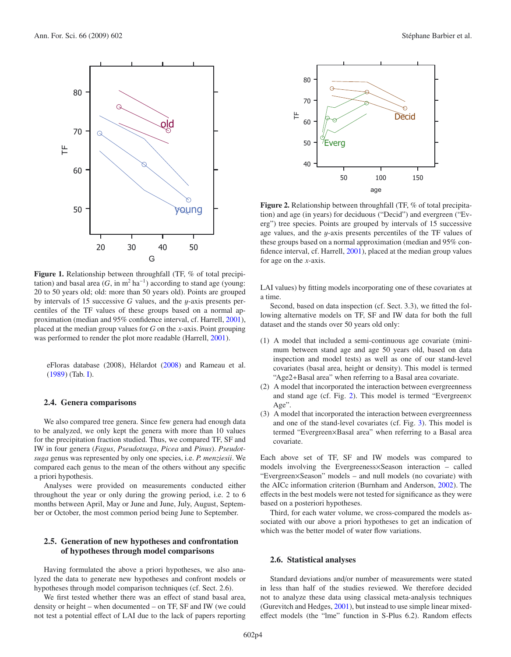50

60

70

<span id="page-3-1"></span> $F$ 

80



young

**Figure 1.** Relationship between throughfall (TF, % of total precipitation) and basal area  $(G, \text{ in } m^2 \text{ ha}^{-1})$  according to stand age (young: 20 to 50 years old; old: more than 50 years old). Points are grouped by intervals of 15 successive *G* values, and the y-axis presents percentiles of the TF values of these groups based on a normal approximation (median and 95% confidence interval, cf. Harrell, [2001](#page-9-9)), placed at the median group values for *G* on the *x*-axis. Point grouping was performed to render the plot more readable (Harrell, [2001](#page-9-9)).

20 30 40 50

G

eFloras database (2008), Hélardot [\(2008](#page-9-10)) and Rameau et al. [\(1989](#page-10-14)) (Tab. [I\)](#page-2-0).

#### **2.4. Genera comparisons**

We also compared tree genera. Since few genera had enough data to be analyzed, we only kept the genera with more than 10 values for the precipitation fraction studied. Thus, we compared TF, SF and IW in four genera (*Fagus*, *Pseudotsuga*, *Picea* and *Pinus*). *Pseudotsuga* genus was represented by only one species, i.e. *P. menziesii*. We compared each genus to the mean of the others without any specific a priori hypothesis.

Analyses were provided on measurements conducted either throughout the year or only during the growing period, i.e. 2 to 6 months between April, May or June and June, July, August, September or October, the most common period being June to September.

# **2.5. Generation of new hypotheses and confrontation of hypotheses through model comparisons**

Having formulated the above a priori hypotheses, we also analyzed the data to generate new hypotheses and confront models or hypotheses through model comparison techniques (cf. Sect. 2.6).

We first tested whether there was an effect of stand basal area, density or height – when documented – on TF, SF and IW (we could not test a potential effect of LAI due to the lack of papers reporting

<span id="page-3-0"></span>

**Decid** 

tion) and age (in years) for deciduous ("Decid") and evergreen ("Everg") tree species. Points are grouped by intervals of 15 successive age values, and the y-axis presents percentiles of the TF values of these groups based on a normal approximation (median and 95% confidence interval, cf. Harrell, [2001\)](#page-9-9), placed at the median group values for age on the *x*-axis.

40

50

60

 $F$ 

70

 $80$ 

LAI values) by fitting models incorporating one of these covariates at a time.

Second, based on data inspection (cf. Sect. 3.3), we fitted the following alternative models on TF, SF and IW data for both the full dataset and the stands over 50 years old only:

- (1) A model that included a semi-continuous age covariate (minimum between stand age and age 50 years old, based on data inspection and model tests) as well as one of our stand-level covariates (basal area, height or density). This model is termed "Age2+Basal area" when referring to a Basal area covariate.
- (2) A model that incorporated the interaction between evergreenness and stand age (cf. Fig. [2\)](#page-3-0). This model is termed "Evergreen× Age".
- (3) A model that incorporated the interaction between evergreenness and one of the stand-level covariates (cf. Fig. [3\)](#page-4-0). This model is termed "Evergreen×Basal area" when referring to a Basal area covariate.

Each above set of TF, SF and IW models was compared to models involving the Evergreeness×Season interaction – called "Evergreen×Season" models – and null models (no covariate) with the AICc information criterion (Burnham and Anderson, [2002](#page-9-11)). The effects in the best models were not tested for significance as they were based on a posteriori hypotheses.

Third, for each water volume, we cross-compared the models associated with our above a priori hypotheses to get an indication of which was the better model of water flow variations.

#### **2.6. Statistical analyses**

Standard deviations and/or number of measurements were stated in less than half of the studies reviewed. We therefore decided not to analyze these data using classical meta-analysis techniques (Gurevitch and Hedges, [2001](#page-9-12)), but instead to use simple linear mixedeffect models (the "lme" function in S-Plus 6.2). Random effects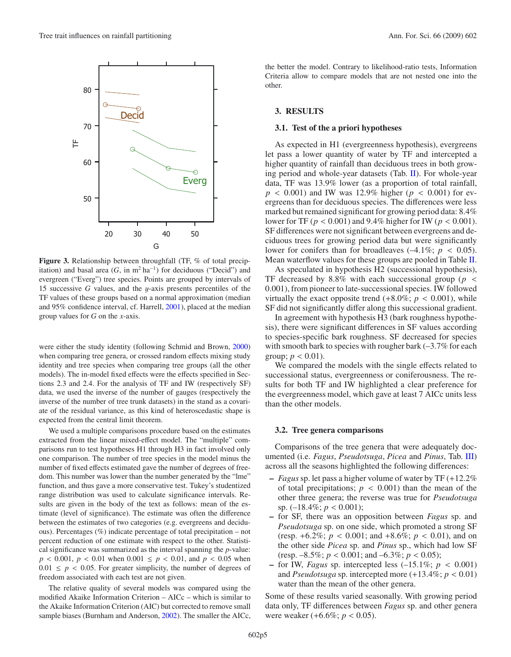<span id="page-4-0"></span>

Figure 3. Relationship between throughfall (TF, % of total precipitation) and basal area  $(G, \text{ in } m^2 \text{ ha}^{-1})$  for deciduous ("Decid") and evergreen ("Everg") tree species. Points are grouped by intervals of 15 successive *G* values, and the y-axis presents percentiles of the TF values of these groups based on a normal approximation (median and 95% confidence interval, cf. Harrell, [2001\)](#page-9-9), placed at the median group values for *G* on the *x*-axis.

were either the study identity (following Schmid and Brown, [2000](#page-10-15)) when comparing tree genera, or crossed random effects mixing study identity and tree species when comparing tree groups (all the other models). The in-model fixed effects were the effects specified in Sections 2.3 and 2.4. For the analysis of TF and IW (respectively SF) data, we used the inverse of the number of gauges (respectively the inverse of the number of tree trunk datasets) in the stand as a covariate of the residual variance, as this kind of heteroscedastic shape is expected from the central limit theorem.

We used a multiple comparisons procedure based on the estimates extracted from the linear mixed-effect model. The "multiple" comparisons run to test hypotheses H1 through H3 in fact involved only one comparison. The number of tree species in the model minus the number of fixed effects estimated gave the number of degrees of freedom. This number was lower than the number generated by the "lme" function, and thus gave a more conservative test. Tukey's studentized range distribution was used to calculate significance intervals. Results are given in the body of the text as follows: mean of the estimate (level of significance). The estimate was often the difference between the estimates of two categories (e.g. evergreens and deciduous). Percentages (%) indicate percentage of total precipitation – not percent reduction of one estimate with respect to the other. Statistical significance was summarized as the interval spanning the *p*-value:  $p < 0.001$ ,  $p < 0.01$  when  $0.001 \le p < 0.01$ , and  $p < 0.05$  when  $0.01 \leq p < 0.05$ . For greater simplicity, the number of degrees of freedom associated with each test are not given.

The relative quality of several models was compared using the modified Akaike Information Criterion – AICc – which is similar to the Akaike Information Criterion (AIC) but corrected to remove small sample biases (Burnham and Anderson, [2002](#page-9-11)). The smaller the AICc, the better the model. Contrary to likelihood-ratio tests, Information Criteria allow to compare models that are not nested one into the other.

## **3. RESULTS**

## **3.1. Test of the a priori hypotheses**

As expected in H1 (evergreenness hypothesis), evergreens let pass a lower quantity of water by TF and intercepted a higher quantity of rainfall than deciduous trees in both growing period and whole-year datasets (Tab. [II\)](#page-5-0). For whole-year data, TF was 13.9% lower (as a proportion of total rainfall,  $p < 0.001$ ) and IW was 12.9% higher ( $p < 0.001$ ) for evergreens than for deciduous species. The differences were less marked but remained significant for growing period data: 8.4% lower for TF (*p* < 0.001) and 9.4% higher for IW (*p* < 0.001). SF differences were not significant between evergreens and deciduous trees for growing period data but were significantly lower for conifers than for broadleaves  $(-4.1\%; p < 0.05)$ . Mean waterflow values for these groups are pooled in Table [II.](#page-5-0)

As speculated in hypothesis H2 (successional hypothesis), TF decreased by 8.8% with each successional group ( $p \leq$ 0.001), from pioneer to late-successional species. IW followed virtually the exact opposite trend  $(+8.0\%; p < 0.001)$ , while SF did not significantly differ along this successional gradient.

In agreement with hypothesis H3 (bark roughness hypothesis), there were significant differences in SF values according to species-specific bark roughness. SF decreased for species with smooth bark to species with rougher bark  $(-3.7%$  for each group;  $p < 0.01$ ).

We compared the models with the single effects related to successional status, evergreenness or coniferousness. The results for both TF and IW highlighted a clear preference for the evergreenness model, which gave at least 7 AICc units less than the other models.

#### **3.2. Tree genera comparisons**

Comparisons of the tree genera that were adequately documented (i.e. *Fagus*, *Pseudotsuga*, *Picea* and *Pinus*, Tab. [III\)](#page-5-1) across all the seasons highlighted the following differences:

- **–** *Fagus*sp. let pass a higher volume of water by TF (+12.2% of total precipitations;  $p < 0.001$ ) than the mean of the other three genera; the reverse was true for *Pseudotsuga* sp. (–18.4%; *p* < 0.001);
- **–** for SF, there was an opposition between *Fagus* sp. and *Pseudotsuga* sp. on one side, which promoted a strong SF (resp.  $+6.2\%$ ;  $p < 0.001$ ; and  $+8.6\%$ ;  $p < 0.01$ ), and on the other side *Picea* sp. and *Pinus* sp., which had low SF (resp. –8.5%; *p* < 0.001; and –6.3%; *p* < 0.05);
- **–** for IW, *Fagus* sp. intercepted less (–15.1%; *p* < 0.001) and *Pseudotsuga* sp. intercepted more (+13.4%; *p* < 0.01) water than the mean of the other genera.

Some of these results varied seasonally. With growing period data only, TF differences between *Fagus* sp. and other genera were weaker (+6.6%; *p* < 0.05).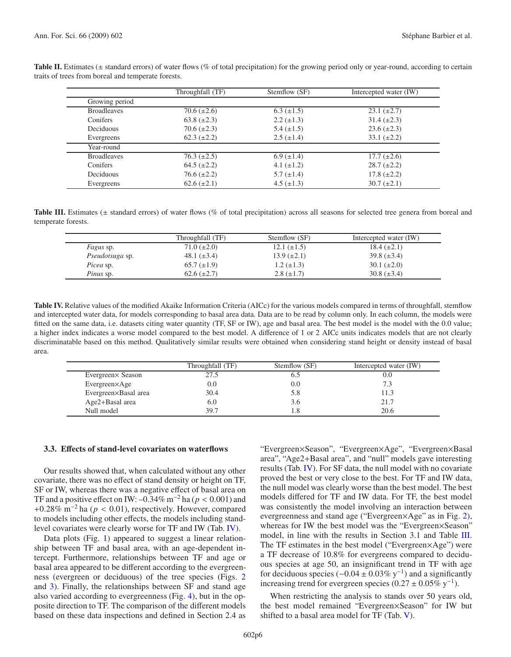|                    | Throughfall (TF) | Stemflow (SF)     | Intercepted water (IW) |
|--------------------|------------------|-------------------|------------------------|
| Growing period     |                  |                   |                        |
| <b>Broadleaves</b> | $70.6 (\pm 2.6)$ | $6.3 \ (\pm 1.5)$ | $23.1 (\pm 2.7)$       |
| <b>Conifers</b>    | 63.8 $(\pm 2.3)$ | $2.2 (\pm 1.3)$   | $31.4 (\pm 2.3)$       |
| <b>Deciduous</b>   | $70.6 (\pm 2.3)$ | $5.4 (\pm 1.5)$   | $23.6 (\pm 2.3)$       |
| Evergreens         | $62.3 (\pm 2.2)$ | $2.5 (\pm 1.4)$   | $33.1 (\pm 2.2)$       |
| Year-round         |                  |                   |                        |
| <b>Broadleaves</b> | $76.3 (\pm 2.5)$ | $6.9 \ (\pm 1.4)$ | $17.7 (\pm 2.6)$       |
| Conifers           | $64.5 (\pm 2.2)$ | 4.1 $(\pm 1.2)$   | $28.7 (\pm 2.2)$       |
| Deciduous          | $76.6 (\pm 2.2)$ | $5.7 (\pm 1.4)$   | $17.8 (\pm 2.2)$       |
| Evergreens         | $62.6 (\pm 2.1)$ | $4.5 (\pm 1.3)$   | $30.7 (\pm 2.1)$       |

<span id="page-5-1"></span><span id="page-5-0"></span>**Table II.** Estimates ( $\pm$  standard errors) of water flows (% of total precipitation) for the growing period only or year-round, according to certain traits of trees from boreal and temperate forests.

<span id="page-5-2"></span>Table III. Estimates ( $\pm$  standard errors) of water flows (% of total precipitation) across all seasons for selected tree genera from boreal and temperate forests.

|                        | Throughfall (TF) | Stemflow (SF)      | Intercepted water (IW) |
|------------------------|------------------|--------------------|------------------------|
| <i>Fagus</i> sp.       | $71.0 (\pm 2.0)$ | 12.1 $(\pm 1.5)$   | $18.4 \ (\pm 2.1)$     |
| <i>Pseudotsuga</i> sp. | 48.1 $(\pm 3.4)$ | $13.9 \ (\pm 2.1)$ | 39.8 $(\pm 3.4)$       |
| <i>Picea</i> sp.       | $65.7 (\pm 1.9)$ | $1.2 \ (\pm 1.3)$  | $30.1 (\pm 2.0)$       |
| <i>Pinus</i> sp.       | $62.6 (\pm 2.7)$ | $2.8 \ (\pm 1.7)$  | $30.8 \ (\pm 3.4)$     |

**Table IV.** Relative values of the modified Akaike Information Criteria (AICc) for the various models compared in terms of throughfall, stemflow and intercepted water data, for models corresponding to basal area data. Data are to be read by column only. In each column, the models were fitted on the same data, i.e. datasets citing water quantity (TF, SF or IW), age and basal area. The best model is the model with the 0.0 value; a higher index indicates a worse model compared to the best model. A difference of 1 or 2 AICc units indicates models that are not clearly discriminatable based on this method. Qualitatively similar results were obtained when considering stand height or density instead of basal area.

|                        | Throughfall (TF) | Stemflow (SF) | Intercepted water (IW) |
|------------------------|------------------|---------------|------------------------|
| Evergreen× Season      | 27.5             |               | $_{0.0}$               |
| Evergreen $\times$ Age | 0.0              | $0.0\,$       | 7.3                    |
| Evergreen×Basal area   | 30.4             | 5.8           | 11.3                   |
| Age2+Basal area        | 6.0              | 3.6           | 21.7                   |
| Null model             | 39.7             |               | 20.6                   |

#### **3.3. E**ff**ects of stand-level covariates on waterflows**

Our results showed that, when calculated without any other covariate, there was no effect of stand density or height on TF, SF or IW, whereas there was a negative effect of basal area on TF and a positive effect on IW: –0.34% m<sup>-2</sup> ha ( $p < 0.001$ ) and +0.28% m−<sup>2</sup> ha (*p* < 0.01), respectively. However, compared to models including other effects, the models including standlevel covariates were clearly worse for TF and IW (Tab. [IV\)](#page-5-2).

Data plots (Fig. [1\)](#page-3-1) appeared to suggest a linear relationship between TF and basal area, with an age-dependent intercept. Furthermore, relationships between TF and age or basal area appeared to be different according to the evergreenness (evergreen or deciduous) of the tree species (Figs. [2](#page-3-0) and [3\)](#page-4-0). Finally, the relationships between SF and stand age also varied according to evergreenness (Fig. [4\)](#page-6-0), but in the opposite direction to TF. The comparison of the different models based on these data inspections and defined in Section 2.4 as "Evergreen×Season", "Evergreen×Age", "Evergreen×Basal area", "Age2+Basal area", and "null" models gave interesting results (Tab. [IV\)](#page-5-2). For SF data, the null model with no covariate proved the best or very close to the best. For TF and IW data, the null model was clearly worse than the best model. The best models differed for TF and IW data. For TF, the best model was consistently the model involving an interaction between evergreenness and stand age ("Evergreen×Age" as in Fig. [2\)](#page-3-0), whereas for IW the best model was the "Evergreen×Season" model, in line with the results in Section 3.1 and Table [III.](#page-5-1) The TF estimates in the best model ("Evergreen×Age") were a TF decrease of 10.8% for evergreens compared to deciduous species at age 50, an insignificant trend in TF with age for deciduous species ( $-0.04 \pm 0.03\%$  y<sup>-1</sup>) and a significantly increasing trend for evergreen species (0.27 ± 0.05%  $y^{-1}$ ).

When restricting the analysis to stands over 50 years old, the best model remained "Evergreen×Season" for IW but shifted to a basal area model for TF (Tab. [V\)](#page-6-1).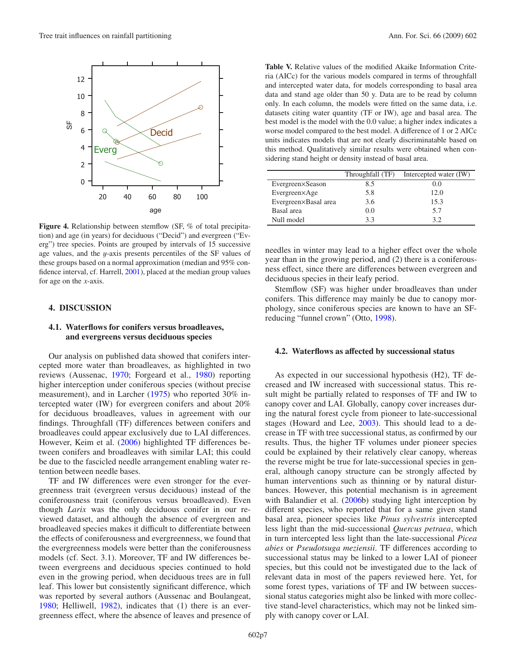<span id="page-6-0"></span>

**Figure 4.** Relationship between stemflow (SF, % of total precipitation) and age (in years) for deciduous ("Decid") and evergreen ("Everg") tree species. Points are grouped by intervals of 15 successive age values, and the  $y$ -axis presents percentiles of the SF values of these groups based on a normal approximation (median and 95% confidence interval, cf. Harrell, [2001\)](#page-9-9), placed at the median group values for age on the *x*-axis.

# **4. DISCUSSION**

# **4.1. Waterflows for conifers versus broadleaves, and evergreens versus deciduous species**

Our analysis on published data showed that conifers intercepted more water than broadleaves, as highlighted in two reviews (Aussenac, [1970;](#page-9-4) Forgeard et al., [1980\)](#page-9-5) reporting higher interception under coniferous species (without precise measurement), and in Larcher [\(1975\)](#page-10-16) who reported 30% intercepted water (IW) for evergreen conifers and about 20% for deciduous broadleaves, values in agreement with our findings. Throughfall (TF) differences between conifers and broadleaves could appear exclusively due to LAI differences. However, Keim et al. [\(2006\)](#page-10-13) highlighted TF differences between conifers and broadleaves with similar LAI; this could be due to the fascicled needle arrangement enabling water retention between needle bases.

TF and IW differences were even stronger for the evergreenness trait (evergreen versus deciduous) instead of the coniferousness trait (coniferous versus broadleaved). Even though *Larix* was the only deciduous conifer in our reviewed dataset, and although the absence of evergreen and broadleaved species makes it difficult to differentiate between the effects of coniferousness and evergreenness, we found that the evergreenness models were better than the coniferousness models (cf. Sect. 3.1). Moreover, TF and IW differences between evergreens and deciduous species continued to hold even in the growing period, when deciduous trees are in full leaf. This lower but consistently significant difference, which was reported by several authors (Aussenac and Boulangeat, [1980;](#page-9-2) Helliwell, [1982\)](#page-10-12), indicates that (1) there is an evergreenness effect, where the absence of leaves and presence of

<span id="page-6-1"></span>**Table V.** Relative values of the modified Akaike Information Criteria (AICc) for the various models compared in terms of throughfall and intercepted water data, for models corresponding to basal area data and stand age older than 50 y. Data are to be read by column only. In each column, the models were fitted on the same data, i.e. datasets citing water quantity (TF or IW), age and basal area. The best model is the model with the 0.0 value; a higher index indicates a worse model compared to the best model. A difference of 1 or 2 AICc units indicates models that are not clearly discriminatable based on this method. Qualitatively similar results were obtained when considering stand height or density instead of basal area.

|                      | Throughfall (TF) | Intercepted water (IW) |
|----------------------|------------------|------------------------|
| Evergreen×Season     | 8.5              | 0.0                    |
| Evergreen×Age        | 5.8              | 12.0                   |
| Evergreen×Basal area | 3.6              | 15.3                   |
| Basal area           | 0.0              | 5.7                    |
| Null model           | 3.3              | 32                     |

needles in winter may lead to a higher effect over the whole year than in the growing period, and (2) there is a coniferousness effect, since there are differences between evergreen and deciduous species in their leafy period.

Stemflow (SF) was higher under broadleaves than under conifers. This difference may mainly be due to canopy morphology, since coniferous species are known to have an SFreducing "funnel crown" (Otto, [1998\)](#page-10-17).

#### **4.2. Waterflows as a**ff**ected by successional status**

As expected in our successional hypothesis (H2), TF decreased and IW increased with successional status. This result might be partially related to responses of TF and IW to canopy cover and LAI. Globally, canopy cover increases during the natural forest cycle from pioneer to late-successional stages (Howard and Lee, [2003\)](#page-10-18). This should lead to a decrease in TF with tree successional status, as confirmed by our results. Thus, the higher TF volumes under pioneer species could be explained by their relatively clear canopy, whereas the reverse might be true for late-successional species in general, although canopy structure can be strongly affected by human interventions such as thinning or by natural disturbances. However, this potential mechanism is in agreement with Balandier et al. [\(2006b](#page-9-13)) studying light interception by different species, who reported that for a same given stand basal area, pioneer species like *Pinus sylvestris* intercepted less light than the mid-successional *Quercus petraea*, which in turn intercepted less light than the late-successional *Picea abies* or *Pseudotsuga meziensii*. TF differences according to successional status may be linked to a lower LAI of pioneer species, but this could not be investigated due to the lack of relevant data in most of the papers reviewed here. Yet, for some forest types, variations of TF and IW between successional status categories might also be linked with more collective stand-level characteristics, which may not be linked simply with canopy cover or LAI.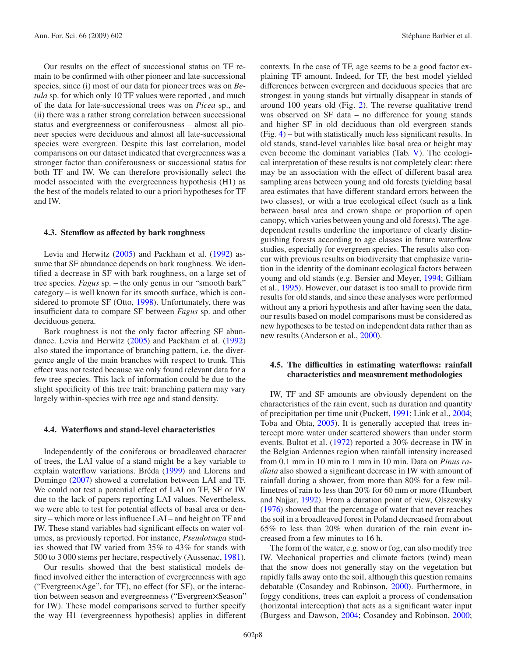Our results on the effect of successional status on TF remain to be confirmed with other pioneer and late-successional species, since (i) most of our data for pioneer trees was on *Betula* sp. for which only 10 TF values were reported , and much of the data for late-successional trees was on *Picea* sp., and (ii) there was a rather strong correlation between successional status and evergreenness or coniferousness – almost all pioneer species were deciduous and almost all late-successional species were evergreen. Despite this last correlation, model comparisons on our dataset indicated that evergreenness was a stronger factor than coniferousness or successional status for both TF and IW. We can therefore provisionally select the model associated with the evergreenness hypothesis (H1) as the best of the models related to our a priori hypotheses for TF and IW.

## **4.3. Stemflow as a**ff**ected by bark roughness**

Levia and Herwitz [\(2005\)](#page-10-1) and Packham et al. [\(1992\)](#page-10-19) assume that SF abundance depends on bark roughness. We identified a decrease in SF with bark roughness, on a large set of tree species. *Fagus* sp. – the only genus in our "smooth bark" category – is well known for its smooth surface, which is considered to promote SF (Otto, [1998\)](#page-10-17). Unfortunately, there was insufficient data to compare SF between *Fagus* sp. and other deciduous genera.

Bark roughness is not the only factor affecting SF abundance. Levia and Herwitz [\(2005\)](#page-10-1) and Packham et al. [\(1992](#page-10-19)) also stated the importance of branching pattern, i.e. the divergence angle of the main branches with respect to trunk. This effect was not tested because we only found relevant data for a few tree species. This lack of information could be due to the slight specificity of this tree trait: branching pattern may vary largely within-species with tree age and stand density.

#### **4.4. Waterflows and stand-level characteristics**

Independently of the coniferous or broadleaved character of trees, the LAI value of a stand might be a key variable to explain waterflow variations. Bréda [\(1999\)](#page-9-14) and Llorens and Domingo [\(2007\)](#page-10-3) showed a correlation between LAI and TF. We could not test a potential effect of LAI on TF, SF or IW due to the lack of papers reporting LAI values. Nevertheless, we were able to test for potential effects of basal area or density – which more or less influence LAI – and height on TF and IW. These stand variables had significant effects on water volumes, as previously reported. For instance, *Pseudotsuga* studies showed that IW varied from 35% to 43% for stands with 500 to 3 000 stems per hectare, respectively (Aussenac, [1981\)](#page-9-15).

Our results showed that the best statistical models defined involved either the interaction of evergreenness with age ("Evergreen×Age", for TF), no effect (for SF), or the interaction between season and evergreenness ("Evergreen×Season" for IW). These model comparisons served to further specify the way H1 (evergreenness hypothesis) applies in different

contexts. In the case of TF, age seems to be a good factor explaining TF amount. Indeed, for TF, the best model yielded differences between evergreen and deciduous species that are strongest in young stands but virtually disappear in stands of around 100 years old (Fig. [2\)](#page-3-0). The reverse qualitative trend was observed on SF data – no difference for young stands and higher SF in old deciduous than old evergreen stands (Fig. [4\)](#page-6-0) – but with statistically much less significant results. In old stands, stand-level variables like basal area or height may even become the dominant variables (Tab.  $V$ ). The ecological interpretation of these results is not completely clear: there may be an association with the effect of different basal area sampling areas between young and old forests (yielding basal area estimates that have different standard errors between the two classes), or with a true ecological effect (such as a link between basal area and crown shape or proportion of open canopy, which varies between young and old forests). The agedependent results underline the importance of clearly distinguishing forests according to age classes in future waterflow studies, especially for evergreen species. The results also concur with previous results on biodiversity that emphasize variation in the identity of the dominant ecological factors between young and old stands (e.g. Bersier and Meyer, [1994;](#page-9-16) Gilliam et al., [1995\)](#page-9-17). However, our dataset is too small to provide firm results for old stands, and since these analyses were performed without any a priori hypothesis and after having seen the data, our results based on model comparisons must be considered as new hypotheses to be tested on independent data rather than as new results (Anderson et al., [2000\)](#page-9-18).

## **4.5. The di**ffi**culties in estimating waterflows: rainfall characteristics and measurement methodologies**

IW, TF and SF amounts are obviously dependent on the characteristics of the rain event, such as duration and quantity of precipitation per time unit (Puckett, [1991](#page-10-20); Link et al., [2004;](#page-10-21) Toba and Ohta, [2005\)](#page-10-6). It is generally accepted that trees intercept more water under scattered showers than under storm events. Bultot et al. [\(1972\)](#page-9-19) reported a 30% decrease in IW in the Belgian Ardennes region when rainfall intensity increased from 0.1 mm in 10 min to 1 mm in 10 min. Data on *Pinus radiata* also showed a significant decrease in IW with amount of rainfall during a shower, from more than 80% for a few millimetres of rain to less than 20% for 60 mm or more (Humbert and Najjar, [1992\)](#page-10-22). From a duration point of view, Olszewsky [\(1976\)](#page-10-23) showed that the percentage of water that never reaches the soil in a broadleaved forest in Poland decreased from about 65% to less than 20% when duration of the rain event increased from a few minutes to 16 h.

The form of the water, e.g. snow or fog, can also modify tree IW. Mechanical properties and climate factors (wind) mean that the snow does not generally stay on the vegetation but rapidly falls away onto the soil, although this question remains debatable (Cosandey and Robinson, [2000\)](#page-9-20). Furthermore, in foggy conditions, trees can exploit a process of condensation (horizontal interception) that acts as a significant water input (Burgess and Dawson, [2004;](#page-9-21) Cosandey and Robinson, [2000;](#page-9-20)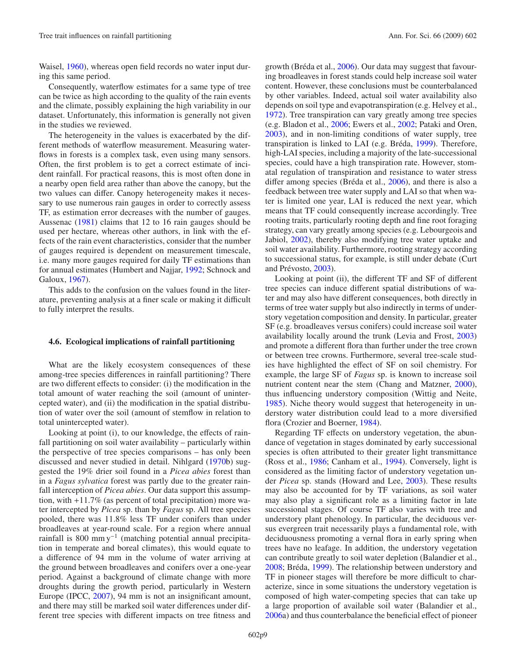Waisel, [1960\)](#page-10-24), whereas open field records no water input during this same period.

Consequently, waterflow estimates for a same type of tree can be twice as high according to the quality of the rain events and the climate, possibly explaining the high variability in our dataset. Unfortunately, this information is generally not given in the studies we reviewed.

The heterogeneity in the values is exacerbated by the different methods of waterflow measurement. Measuring waterflows in forests is a complex task, even using many sensors. Often, the first problem is to get a correct estimate of incident rainfall. For practical reasons, this is most often done in a nearby open field area rather than above the canopy, but the two values can differ. Canopy heterogeneity makes it necessary to use numerous rain gauges in order to correctly assess TF, as estimation error decreases with the number of gauges. Aussenac [\(1981\)](#page-9-15) claims that 12 to 16 rain gauges should be used per hectare, whereas other authors, in link with the effects of the rain event characteristics, consider that the number of gauges required is dependent on measurement timescale, i.e. many more gauges required for daily TF estimations than for annual estimates (Humbert and Najjar, [1992;](#page-10-22) Schnock and Galoux, [1967\)](#page-10-25).

This adds to the confusion on the values found in the literature, preventing analysis at a finer scale or making it difficult to fully interpret the results.

## **4.6. Ecological implications of rainfall partitioning**

What are the likely ecosystem consequences of these among-tree species differences in rainfall partitioning? There are two different effects to consider: (i) the modification in the total amount of water reaching the soil (amount of unintercepted water), and (ii) the modification in the spatial distribution of water over the soil (amount of stemflow in relation to total unintercepted water).

Looking at point (i), to our knowledge, the effects of rainfall partitioning on soil water availability – particularly within the perspective of tree species comparisons – has only been discussed and never studied in detail. Nihlgard [\(1970](#page-10-26)b) suggested the 19% drier soil found in a *Picea abies* forest than in a *Fagus sylvatica* forest was partly due to the greater rainfall interception of *Picea abies*. Our data support this assumption, with +11.7% (as percent of total precipitation) more water intercepted by *Picea* sp. than by *Fagus* sp. All tree species pooled, there was 11.8% less TF under conifers than under broadleaves at year-round scale. For a region where annual rainfall is 800 mm y−<sup>1</sup> (matching potential annual precipitation in temperate and boreal climates), this would equate to a difference of 94 mm in the volume of water arriving at the ground between broadleaves and conifers over a one-year period. Against a background of climate change with more droughts during the growth period, particularly in Western Europe (IPCC, [2007\)](#page-10-27), 94 mm is not an insignificant amount, and there may still be marked soil water differences under different tree species with different impacts on tree fitness and

growth (Bréda et al., [2006\)](#page-9-22). Our data may suggest that favouring broadleaves in forest stands could help increase soil water content. However, these conclusions must be counterbalanced by other variables. Indeed, actual soil water availability also depends on soil type and evapotranspiration (e.g. Helvey et al., [1972\)](#page-10-28). Tree transpiration can vary greatly among tree species (e.g. Bladon et al., [2006;](#page-9-23) Ewers et al., [2002;](#page-9-24) Pataki and Oren, [2003\)](#page-10-29), and in non-limiting conditions of water supply, tree transpiration is linked to LAI (e.g. Bréda, [1999\)](#page-9-14). Therefore, high-LAI species, including a majority of the late-successional species, could have a high transpiration rate. However, stomatal regulation of transpiration and resistance to water stress differ among species (Bréda et al., [2006](#page-9-22)), and there is also a feedback between tree water supply and LAI so that when water is limited one year, LAI is reduced the next year, which means that TF could consequently increase accordingly. Tree rooting traits, particularly rooting depth and fine root foraging strategy, can vary greatly among species (e.g. Lebourgeois and Jabiol, [2002\)](#page-10-30), thereby also modifying tree water uptake and soil water availability. Furthermore, rooting strategy according to successional status, for example, is still under debate (Curt and Prévosto, [2003\)](#page-9-25).

Looking at point (ii), the different TF and SF of different tree species can induce different spatial distributions of water and may also have different consequences, both directly in terms of tree water supply but also indirectly in terms of understory vegetation composition and density. In particular, greater SF (e.g. broadleaves versus conifers) could increase soil water availability locally around the trunk (Levia and Frost, [2003\)](#page-10-0) and promote a different flora than further under the tree crown or between tree crowns. Furthermore, several tree-scale studies have highlighted the effect of SF on soil chemistry. For example, the large SF of *Fagus* sp. is known to increase soil nutrient content near the stem (Chang and Matzner, [2000\)](#page-9-26), thus influencing understory composition (Wittig and Neite, [1985\)](#page-10-31). Niche theory would suggest that heterogeneity in understory water distribution could lead to a more diversified flora (Crozier and Boerner, [1984\)](#page-9-27).

Regarding TF effects on understory vegetation, the abundance of vegetation in stages dominated by early successional species is often attributed to their greater light transmittance (Ross et al., [1986;](#page-10-32) Canham et al., [1994\)](#page-9-28). Conversely, light is considered as the limiting factor of understory vegetation under *Picea* sp. stands (Howard and Lee, [2003\)](#page-10-18). These results may also be accounted for by TF variations, as soil water may also play a significant role as a limiting factor in late successional stages. Of course TF also varies with tree and understory plant phenology. In particular, the deciduous versus evergreen trait necessarily plays a fundamental role, with deciduousness promoting a vernal flora in early spring when trees have no leafage. In addition, the understory vegetation can contribute greatly to soil water depletion (Balandier et al., [2008;](#page-9-29) Bréda, [1999\)](#page-9-14). The relationship between understory and TF in pioneer stages will therefore be more difficult to characterize, since in some situations the understory vegetation is composed of high water-competing species that can take up a large proportion of available soil water (Balandier et al., [2006a](#page-9-30)) and thus counterbalance the beneficial effect of pioneer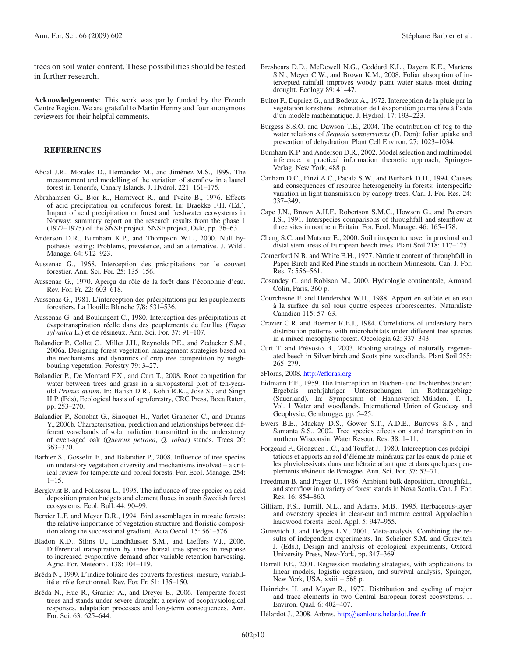trees on soil water content. These possibilities should be tested in further research.

**Acknowledgements:** This work was partly funded by the French Centre Region. We are grateful to Martin Hermy and four anonymous reviewers for their helpful comments.

#### **REFERENCES**

- <span id="page-9-3"></span>Aboal J.R., Morales D., Hernández M., and Jiménez M.S., 1999. The measurement and modelling of the variation of stemflow in a laurel forest in Tenerife, Canary Islands. J. Hydrol. 221: 161–175.
- Abrahamsen G., Bjor K., Horntvedt R., and Tveite B., 1976. Effects of acid precipitation on coniferous forest. In: Braekke F.H. (Ed.), Impact of acid precipitation on forest and freshwater ecosystems in Norway: summary report on the research results from the phase 1 (1972–1975) of the SNSF project. SNSF project, Oslo, pp. 36–63.
- <span id="page-9-18"></span>Anderson D.R., Burnham K.P., and Thompson W.L., 2000. Null hypothesis testing: Problems, prevalence, and an alternative. J. Wildl. Manage. 64: 912–923.
- <span id="page-9-7"></span>Aussenac G., 1968. Interception des précipitations par le couvert forestier. Ann. Sci. For. 25: 135–156.
- <span id="page-9-4"></span>Aussenac G., 1970. Aperçu du rôle de la forêt dans l'économie d'eau. Rev. For. Fr. 22: 603–618.
- <span id="page-9-15"></span>Aussenac G., 1981. L'interception des précipitations par les peuplements forestiers. La Houille Blanche 7/8: 531–536.
- <span id="page-9-2"></span>Aussenac G. and Boulangeat C., 1980. Interception des précipitations et évapotranspiration réelle dans des peuplements de feuillus (*Fagus sylvatica* L.) et de résineux. Ann. Sci. For. 37: 91–107.
- <span id="page-9-30"></span>Balandier P., Collet C., Miller J.H., Reynolds P.E., and Zedacker S.M., 2006a. Designing forest vegetation management strategies based on the mechanisms and dynamics of crop tree competition by neighbouring vegetation. Forestry 79: 3–27.
- <span id="page-9-29"></span>Balandier P., De Montard F.X., and Curt T., 2008. Root competition for water between trees and grass in a silvopastoral plot of ten-yearold *Prunus avium*. In: Batish D.R., Kohli R.K.., Jose S., and Singh H.P. (Eds), Ecological basis of agroforestry, CRC Press, Boca Raton, pp. 253–270.
- <span id="page-9-13"></span>Balandier P., Sonohat G., Sinoquet H., Varlet-Grancher C., and Dumas Y., 2006b. Characterisation, prediction and relationships between different wavebands of solar radiation transmitted in the understorey of even-aged oak (*Quercus petraea*, *Q. robur*) stands. Trees 20: 363–370.
- <span id="page-9-1"></span>Barbier S., Gosselin F., and Balandier P., 2008. Influence of tree species on understory vegetation diversity and mechanisms involved – a critical review for temperate and boreal forests. For. Ecol. Manage. 254:  $1 - 15$ .
- Bergkvist B. and Folkeson L., 1995. The influence of tree species on acid deposition proton budgets and element fluxes in south Swedish forest ecosystems. Ecol. Bull. 44: 90–99.
- <span id="page-9-16"></span>Bersier L.F. and Meyer D.R., 1994. Bird assemblages in mosaic forests: the relative importance of vegetation structure and floristic composition along the successional gradient. Acta Oecol. 15: 561–576.
- <span id="page-9-23"></span>Bladon K.D., Silins U., Landhäusser S.M., and Lieffers V.J., 2006. Differential transpiration by three boreal tree species in response to increased evaporative demand after variable retention harvesting. Agric. For. Meteorol. 138: 104–119.
- <span id="page-9-14"></span>Bréda N., 1999. L'indice foliaire des couverts forestiers: mesure, variabilité et rôle fonctionnel. Rev. For. Fr. 51: 135–150.
- <span id="page-9-22"></span>Bréda N., Huc R., Granier A., and Dreyer E., 2006. Temperate forest trees and stands under severe drought: a review of ecophysiological responses, adaptation processes and long-term consequences. Ann. For. Sci. 63: 625–644.
- <span id="page-9-0"></span>Breshears D.D., McDowell N.G., Goddard K.L., Dayem K.E., Martens S.N., Meyer C.W., and Brown K.M., 2008. Foliar absorption of intercepted rainfall improves woody plant water status most during drought. Ecology 89: 41–47.
- <span id="page-9-19"></span>Bultot F., Dupriez G., and Bodeux A., 1972. Interception de la pluie par la végétation forestière ; estimation de l'évaporation journalière à l'aide d'un modèle mathématique. J. Hydrol. 17: 193–223.
- <span id="page-9-21"></span>Burgess S.S.O. and Dawson T.E., 2004. The contribution of fog to the water relations of *Sequoia sempervirens* (D. Don): foliar uptake and prevention of dehydration. Plant Cell Environ. 27: 1023–1034.
- <span id="page-9-11"></span>Burnham K.P. and Anderson D.R., 2002. Model selection and multimodel inference: a practical information theoretic approach, Springer-Verlag, New York, 488 p.
- <span id="page-9-28"></span>Canham D.C., Finzi A.C., Pacala S.W., and Burbank D.H., 1994. Causes and consequences of resource heterogeneity in forests: interspecific variation in light transmission by canopy trees. Can. J. For. Res. 24: 337–349.
- <span id="page-9-6"></span>Cape J.N., Brown A.H.F., Robertson S.M.C., Howson G., and Paterson I.S., 1991. Interspecies comparisons of throughfall and stemflow at three sites in northern Britain. For. Ecol. Manage. 46: 165–178.
- <span id="page-9-26"></span>Chang S.C. and Matzner E., 2000. Soil nitrogen turnover in proximal and distal stem areas of European beech trees. Plant Soil 218: 117–125.
- Comerford N.B. and White E.H., 1977. Nutrient content of throughfall in Paper Birch and Red Pine stands in northern Minnesota. Can. J. For. Res. 7: 556–561.
- <span id="page-9-20"></span>Cosandey C. and Robison M., 2000. Hydrologie continentale, Armand Colin, Paris, 360 p.
- <span id="page-9-8"></span>Courchesne F. and Hendershot W.H., 1988. Apport en sulfate et en eau à la surface du sol sous quatre espèces arborescentes. Naturaliste Canadien 115: 57–63.
- <span id="page-9-27"></span>Crozier C.R. and Boerner R.E.J., 1984. Correlations of understory herb distribution patterns with microhabitats under different tree species in a mixed mesophytic forest. Oecologia 62: 337–343.
- <span id="page-9-25"></span>Curt T. and Prévosto B., 2003. Rooting strategy of naturally regenerated beech in Silver birch and Scots pine woodlands. Plant Soil 255: 265–279.

eFloras, 2008. http://[efloras.org](http://efloras.org)

- Eidmann F.E., 1959. Die Interception in Buchen- und Fichtenbeständen; Ergebnis mehrjähriger Untersuchungen im Rothaargebirge (Sauerland). In: Symposium of Hannoversch-Münden. T. 1, Vol. 1 Water and woodlands. International Union of Geodesy and Geophysic, Gentbrugge, pp. 5–25.
- <span id="page-9-24"></span>Ewers B.E., Mackay D.S., Gower S.T., A.D.E., Burrows S.N., and Samanta S.S., 2002. Tree species effects on stand transpiration in northern Wisconsin. Water Resour. Res. 38: 1–11.
- <span id="page-9-5"></span>Forgeard F., Gloaguen J.C., and Touffet J., 1980. Interception des précipitations et apports au sol d'éléments minéraux par les eaux de pluie et les pluviolessivats dans une hêtraie atlantique et dans quelques peuplements résineux de Bretagne. Ann. Sci. For. 37: 53–71.
- Freedman B. and Prager U., 1986. Ambient bulk deposition, throughfall, and stemflow in a variety of forest stands in Nova Scotia. Can. J. For. Res. 16: 854–860.
- <span id="page-9-17"></span>Gilliam, F.S., Turrill, N.L., and Adams, M.B., 1995. Herbaceous-layer and overstory species in clear-cut and mature central Appalachian hardwood forests. Ecol. Appl. 5: 947–955.
- <span id="page-9-12"></span>Gurevitch J. and Hedges L.V., 2001. Meta-analysis. Combining the results of independent experiments. In: Scheiner S.M. and Gurevitch J. (Eds.), Design and analysis of ecological experiments, Oxford University Press, New-York, pp. 347–369.
- <span id="page-9-9"></span>Harrell F.E., 2001. Regression modeling strategies, with applications to linear models, logistic regression, and survival analysis, Springer, New York, USA, xxiii + 568 p.
- Heinrichs H. and Mayer R., 1977. Distribution and cycling of major and trace elements in two Central European forest ecosystems. J. Environ. Qual. 6: 402–407.
- <span id="page-9-10"></span>Hélardot J., 2008. Arbres. http://[jeanlouis.helardot.free.fr](http://jeanlouis.helardot.free.fr)